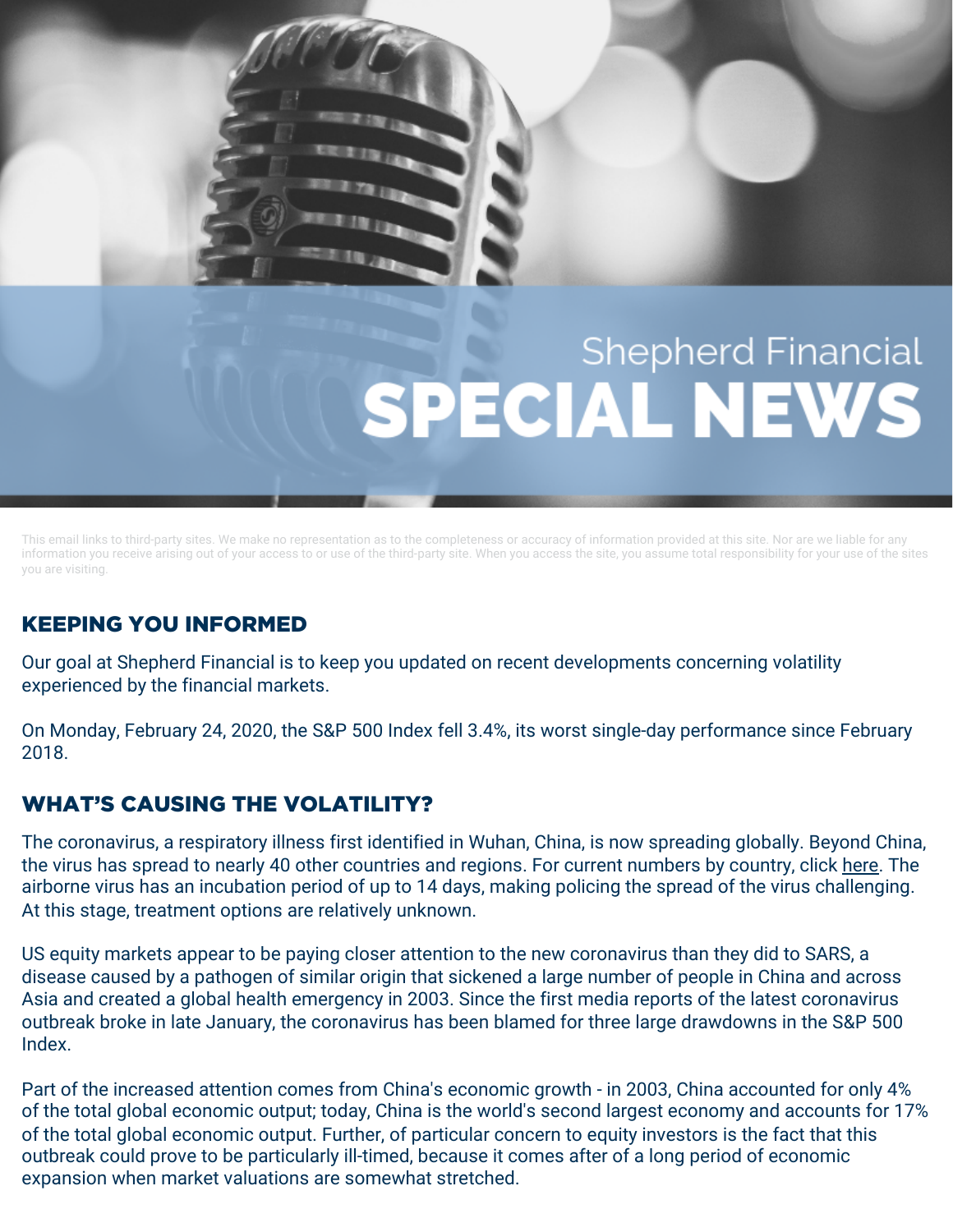

This email links to third-party sites. We make no representation as to the completeness or accuracy of information provided at this site. Nor are we liable for any information you receive arising out of your access to or use of the third-party site. When you access the site, you assume total responsibility for your use of the sites you are visiting.

## KEEPING YOU INFORMED

Our goal at Shepherd Financial is to keep you updated on recent developments concerning volatility experienced by the financial markets.

On Monday, February 24, 2020, the S&P 500 Index fell 3.4%, its worst single-day performance since February 2018.

## WHAT'S CAUSING THE VOLATILITY?

The coronavirus, a respiratory illness first identified in Wuhan, China, is now spreading globally. Beyond China, the virus has spread to nearly 40 other countries and regions. For current numbers by country, click [here.](http://r20.rs6.net/tn.jsp%3Ff=0010oM8lBzf3MentdTe0JFIos2R8cAwFA0wHoeDXUc8WBk-t4hVwLJHBzhESit_UHIAbaVIkcUvA8L_6BWhIpPPBaZgPiNVh4egbQi3el5dWufwqN3X_bg634Ni8qgNxdoHzqkWo3BHj0pcdfs65dfFRCvBgAVWKfjkp3aWR2aWQB0uTPcL5bPTJ8dmDmQwUGUM&c=2vHSQxdGGBRQ3EpoHJwV54kUky8kSB4jCJPRQQHvZWpKDbFd6iONTw==&ch=GQRMz4Sox5HIW6kKVfI2pWaZssuToFWKNZz7k-1ZyCNdTguj7pvr9Q==) The airborne virus has an incubation period of up to 14 days, making policing the spread of the virus challenging. At this stage, treatment options are relatively unknown.

US equity markets appear to be paying closer attention to the new coronavirus than they did to SARS, a disease caused by a pathogen of similar origin that sickened a large number of people in China and across Asia and created a global health emergency in 2003. Since the first media reports of the latest coronavirus outbreak broke in late January, the coronavirus has been blamed for three large drawdowns in the S&P 500 Index.

Part of the increased attention comes from China's economic growth - in 2003, China accounted for only 4% of the total global economic output; today, China is the world's second largest economy and accounts for 17% of the total global economic output. Further, of particular concern to equity investors is the fact that this outbreak could prove to be particularly ill-timed, because it comes after of a long period of economic expansion when market valuations are somewhat stretched.